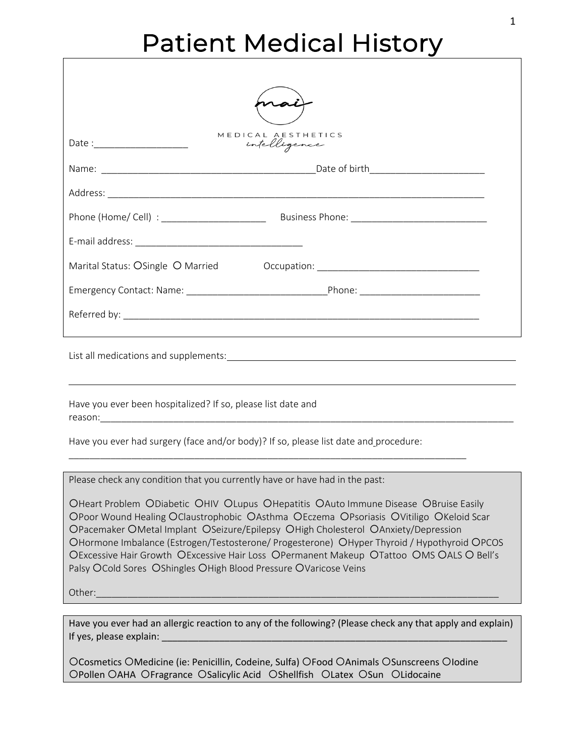### Patient Medical History

| MEDICAL AESTHETICS<br>intelligence                                                   |  |  |  |
|--------------------------------------------------------------------------------------|--|--|--|
|                                                                                      |  |  |  |
|                                                                                      |  |  |  |
|                                                                                      |  |  |  |
|                                                                                      |  |  |  |
| Marital Status: OSingle O Married Cocupation: __________________________________     |  |  |  |
|                                                                                      |  |  |  |
|                                                                                      |  |  |  |
|                                                                                      |  |  |  |
| Have you ever been hospitalized? If so, please list date and                         |  |  |  |
| Have you ever had surgery (face and/or body)? If so, please list date and procedure: |  |  |  |

Please check any condition that you currently have or have had in the past:

OHeart Problem ODiabetic OHIV OLupus OHepatitis OAuto Immune Disease OBruise Easily OPoor Wound Healing OClaustrophobic OAsthma OEczema OPsoriasis OVitiligo OKeloid Scar OPacemaker OMetal Implant OSeizure/Epilepsy OHigh Cholesterol OAnxiety/Depression OHormone Imbalance (Estrogen/Testosterone/ Progesterone) OHyper Thyroid / Hypothyroid OPCOS OExcessive Hair Growth OExcessive Hair Loss OPermanent Makeup OTattoo OMS OALS O Bell's Palsy OCold Sores OShingles OHigh Blood Pressure OVaricose Veins

Other:\_\_\_\_\_\_\_\_\_\_\_\_\_\_\_\_\_\_\_\_\_\_\_\_\_\_\_\_\_\_\_\_\_\_\_\_\_\_\_\_\_\_\_\_\_\_\_\_\_\_\_\_\_\_\_\_\_\_\_\_\_\_\_\_\_\_\_\_\_\_\_\_\_\_\_\_\_

Have you ever had an allergic reaction to any of the following? (Please check any that apply and explain) If yes, please explain:

OCosmetics OMedicine (ie: Penicillin, Codeine, Sulfa) OFood OAnimals OSunscreens OIodine OPollen OAHA OFragrance OSalicylic Acid OShellfish OLatex OSun OLidocaine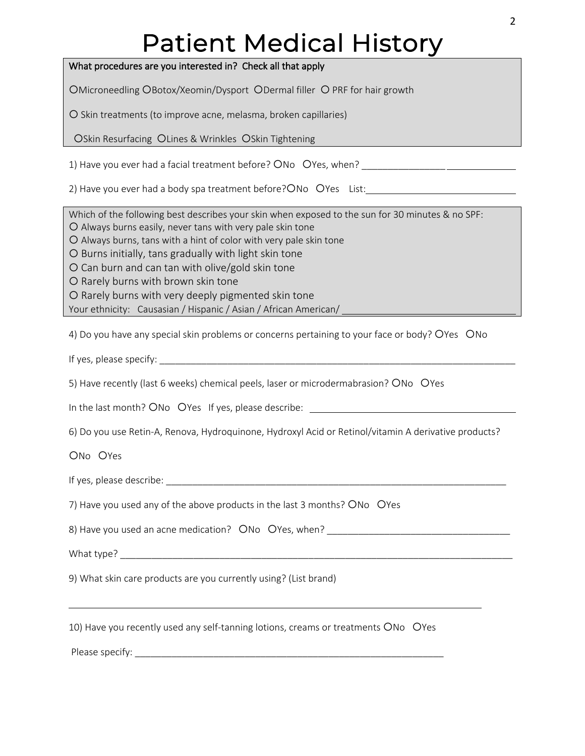# Patient Medical History

| Patient Medical History                                                                                                                                                                                                                                                                                                                                                                                                                                                                                              |
|----------------------------------------------------------------------------------------------------------------------------------------------------------------------------------------------------------------------------------------------------------------------------------------------------------------------------------------------------------------------------------------------------------------------------------------------------------------------------------------------------------------------|
| What procedures are you interested in? Check all that apply                                                                                                                                                                                                                                                                                                                                                                                                                                                          |
| OMicroneedling OBotox/Xeomin/Dysport ODermal filler O PRF for hair growth                                                                                                                                                                                                                                                                                                                                                                                                                                            |
| O Skin treatments (to improve acne, melasma, broken capillaries)                                                                                                                                                                                                                                                                                                                                                                                                                                                     |
| OSkin Resurfacing OLines & Wrinkles OSkin Tightening                                                                                                                                                                                                                                                                                                                                                                                                                                                                 |
|                                                                                                                                                                                                                                                                                                                                                                                                                                                                                                                      |
|                                                                                                                                                                                                                                                                                                                                                                                                                                                                                                                      |
| Which of the following best describes your skin when exposed to the sun for 30 minutes & no SPF:<br>O Always burns easily, never tans with very pale skin tone<br>O Always burns, tans with a hint of color with very pale skin tone<br>O Burns initially, tans gradually with light skin tone<br>O Can burn and can tan with olive/gold skin tone<br>O Rarely burns with brown skin tone<br>O Rarely burns with very deeply pigmented skin tone<br>Your ethnicity: Causasian / Hispanic / Asian / African American/ |
| 4) Do you have any special skin problems or concerns pertaining to your face or body? OYes ONo                                                                                                                                                                                                                                                                                                                                                                                                                       |
|                                                                                                                                                                                                                                                                                                                                                                                                                                                                                                                      |
| 5) Have recently (last 6 weeks) chemical peels, laser or microdermabrasion? ONo OYes                                                                                                                                                                                                                                                                                                                                                                                                                                 |
| In the last month? ONo OYes If yes, please describe: ___________________________                                                                                                                                                                                                                                                                                                                                                                                                                                     |
| 6) Do you use Retin-A, Renova, Hydroquinone, Hydroxyl Acid or Retinol/vitamin A derivative products?                                                                                                                                                                                                                                                                                                                                                                                                                 |
| ONo OYes                                                                                                                                                                                                                                                                                                                                                                                                                                                                                                             |
|                                                                                                                                                                                                                                                                                                                                                                                                                                                                                                                      |
| 7) Have you used any of the above products in the last 3 months? ONo OYes                                                                                                                                                                                                                                                                                                                                                                                                                                            |
|                                                                                                                                                                                                                                                                                                                                                                                                                                                                                                                      |
|                                                                                                                                                                                                                                                                                                                                                                                                                                                                                                                      |
| 9) What skin care products are you currently using? (List brand)                                                                                                                                                                                                                                                                                                                                                                                                                                                     |
| ,我们也不会有什么。""我们的人,我们也不会有什么?""我们的人,我们也不会有什么?""我们的人,我们也不会有什么?""我们的人,我们也不会有什么?""我们的人<br>10) Have you recently used any self-tanning lotions, creams or treatments ONo OYes                                                                                                                                                                                                                                                                                                                                               |
|                                                                                                                                                                                                                                                                                                                                                                                                                                                                                                                      |